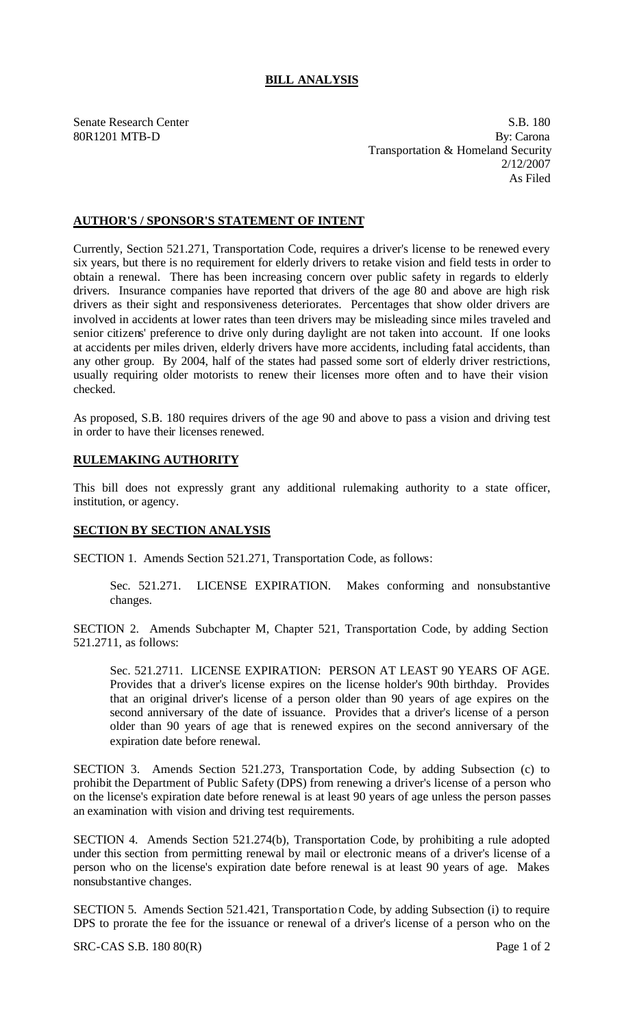## **BILL ANALYSIS**

Senate Research Center S.B. 180 80R1201 MTB-D By: Carona Transportation & Homeland Security 2/12/2007 As Filed

## **AUTHOR'S / SPONSOR'S STATEMENT OF INTENT**

Currently, Section 521.271, Transportation Code, requires a driver's license to be renewed every six years, but there is no requirement for elderly drivers to retake vision and field tests in order to obtain a renewal. There has been increasing concern over public safety in regards to elderly drivers. Insurance companies have reported that drivers of the age 80 and above are high risk drivers as their sight and responsiveness deteriorates. Percentages that show older drivers are involved in accidents at lower rates than teen drivers may be misleading since miles traveled and senior citizens' preference to drive only during daylight are not taken into account. If one looks at accidents per miles driven, elderly drivers have more accidents, including fatal accidents, than any other group. By 2004, half of the states had passed some sort of elderly driver restrictions, usually requiring older motorists to renew their licenses more often and to have their vision checked.

As proposed, S.B. 180 requires drivers of the age 90 and above to pass a vision and driving test in order to have their licenses renewed.

## **RULEMAKING AUTHORITY**

This bill does not expressly grant any additional rulemaking authority to a state officer, institution, or agency.

## **SECTION BY SECTION ANALYSIS**

SECTION 1. Amends Section 521.271, Transportation Code, as follows:

Sec. 521.271. LICENSE EXPIRATION. Makes conforming and nonsubstantive changes.

SECTION 2. Amends Subchapter M, Chapter 521, Transportation Code, by adding Section 521.2711, as follows:

Sec. 521.2711. LICENSE EXPIRATION: PERSON AT LEAST 90 YEARS OF AGE. Provides that a driver's license expires on the license holder's 90th birthday. Provides that an original driver's license of a person older than 90 years of age expires on the second anniversary of the date of issuance. Provides that a driver's license of a person older than 90 years of age that is renewed expires on the second anniversary of the expiration date before renewal.

SECTION 3. Amends Section 521.273, Transportation Code, by adding Subsection (c) to prohibit the Department of Public Safety (DPS) from renewing a driver's license of a person who on the license's expiration date before renewal is at least 90 years of age unless the person passes an examination with vision and driving test requirements.

SECTION 4. Amends Section 521.274(b), Transportation Code, by prohibiting a rule adopted under this section from permitting renewal by mail or electronic means of a driver's license of a person who on the license's expiration date before renewal is at least 90 years of age. Makes nonsubstantive changes.

SECTION 5. Amends Section 521.421, Transportation Code, by adding Subsection (i) to require DPS to prorate the fee for the issuance or renewal of a driver's license of a person who on the